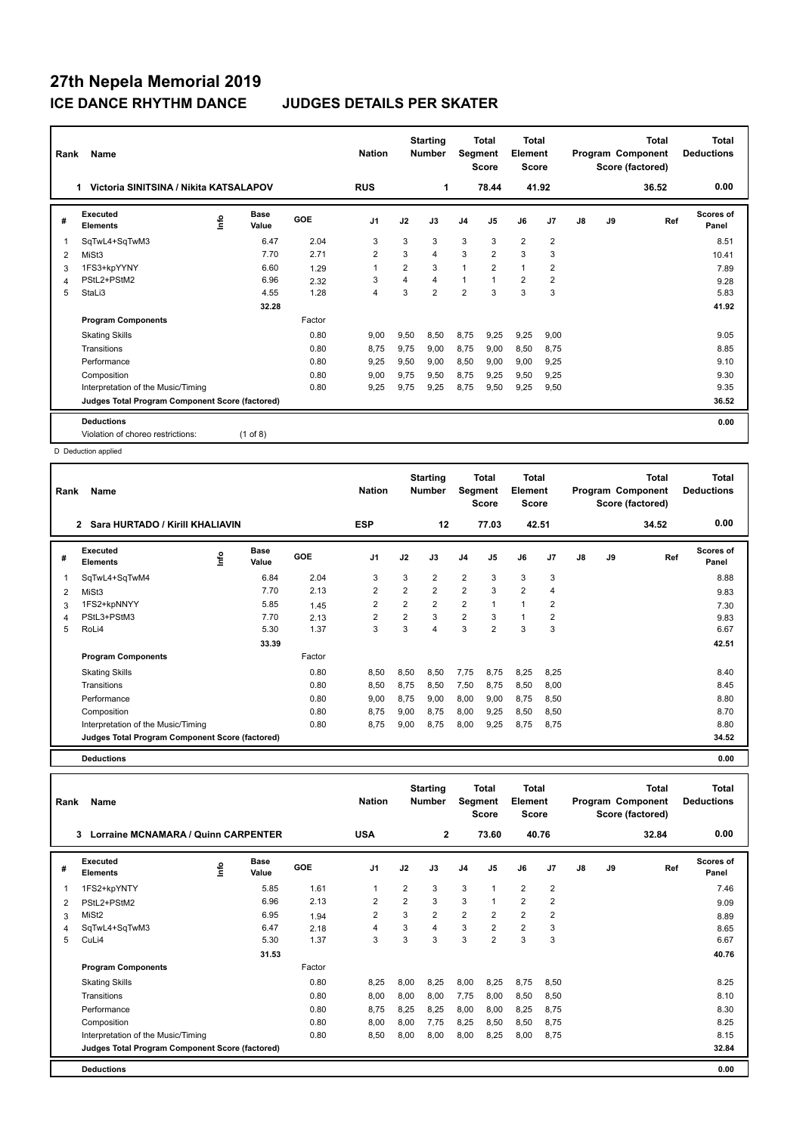| Rank           | <b>Name</b>                                     |      |                      |        | <b>Nation</b>  |                | <b>Starting</b><br><b>Number</b> | Segment        | <b>Total</b><br><b>Score</b> | <b>Total</b><br>Element<br><b>Score</b> |                |    |    | <b>Total</b><br>Program Component<br>Score (factored) | Total<br><b>Deductions</b> |
|----------------|-------------------------------------------------|------|----------------------|--------|----------------|----------------|----------------------------------|----------------|------------------------------|-----------------------------------------|----------------|----|----|-------------------------------------------------------|----------------------------|
|                | Victoria SINITSINA / Nikita KATSALAPOV<br>1.    |      |                      |        | <b>RUS</b>     |                | 1                                |                | 78.44                        | 41.92                                   |                |    |    | 36.52                                                 | 0.00                       |
| #              | Executed<br><b>Elements</b>                     | Info | <b>Base</b><br>Value | GOE    | J <sub>1</sub> | J2             | J3                               | J <sub>4</sub> | J <sub>5</sub>               | J6                                      | J <sub>7</sub> | J8 | J9 | Ref                                                   | <b>Scores of</b><br>Panel  |
| -1             | SqTwL4+SqTwM3                                   |      | 6.47                 | 2.04   | 3              | 3              | 3                                | 3              | 3                            | $\overline{2}$                          | $\overline{2}$ |    |    |                                                       | 8.51                       |
| 2              | MiSt3                                           |      | 7.70                 | 2.71   | $\overline{2}$ | 3              | 4                                | 3              | $\overline{2}$               | 3                                       | 3              |    |    |                                                       | 10.41                      |
| 3              | 1FS3+kpYYNY                                     |      | 6.60                 | 1.29   |                | $\overline{2}$ | 3                                | $\overline{1}$ | $\overline{2}$               | 1                                       | $\overline{2}$ |    |    |                                                       | 7.89                       |
| $\overline{4}$ | PStL2+PStM2                                     |      | 6.96                 | 2.32   | 3              | 4              | 4                                | $\overline{1}$ | $\mathbf{1}$                 | $\overline{2}$                          | $\overline{2}$ |    |    |                                                       | 9.28                       |
| 5              | StaLi3                                          |      | 4.55                 | 1.28   | $\overline{4}$ | 3              | $\overline{2}$                   | $\overline{2}$ | 3                            | 3                                       | 3              |    |    |                                                       | 5.83                       |
|                |                                                 |      | 32.28                |        |                |                |                                  |                |                              |                                         |                |    |    |                                                       | 41.92                      |
|                | <b>Program Components</b>                       |      |                      | Factor |                |                |                                  |                |                              |                                         |                |    |    |                                                       |                            |
|                | <b>Skating Skills</b>                           |      |                      | 0.80   | 9,00           | 9,50           | 8,50                             | 8,75           | 9,25                         | 9,25                                    | 9,00           |    |    |                                                       | 9.05                       |
|                | Transitions                                     |      |                      | 0.80   | 8.75           | 9.75           | 9.00                             | 8,75           | 9,00                         | 8,50                                    | 8,75           |    |    |                                                       | 8.85                       |
|                | Performance                                     |      |                      | 0.80   | 9,25           | 9,50           | 9.00                             | 8,50           | 9,00                         | 9,00                                    | 9,25           |    |    |                                                       | 9.10                       |
|                | Composition                                     |      |                      | 0.80   | 9.00           | 9.75           | 9,50                             | 8.75           | 9.25                         | 9,50                                    | 9,25           |    |    |                                                       | 9.30                       |
|                | Interpretation of the Music/Timing              |      |                      | 0.80   | 9,25           | 9,75           | 9,25                             | 8,75           | 9,50                         | 9,25                                    | 9,50           |    |    |                                                       | 9.35                       |
|                | Judges Total Program Component Score (factored) |      |                      |        |                |                |                                  |                |                              |                                         |                |    |    |                                                       | 36.52                      |
|                | <b>Deductions</b>                               |      |                      |        |                |                |                                  |                |                              |                                         |                |    |    |                                                       | 0.00                       |
|                | Violation of choreo restrictions:               |      | $(1$ of 8)           |        |                |                |                                  |                |                              |                                         |                |    |    |                                                       |                            |

| Rank | Name                                            |      |                      |        | <b>Nation</b>  |                | <b>Starting</b><br>Number | Segment        | Total<br><b>Score</b> | <b>Total</b><br>Element<br><b>Score</b> |                |    |    | <b>Total</b><br>Program Component<br>Score (factored) | <b>Total</b><br><b>Deductions</b> |
|------|-------------------------------------------------|------|----------------------|--------|----------------|----------------|---------------------------|----------------|-----------------------|-----------------------------------------|----------------|----|----|-------------------------------------------------------|-----------------------------------|
|      | Sara HURTADO / Kirill KHALIAVIN<br>2            |      |                      |        | <b>ESP</b>     |                | 12                        |                | 77.03                 | 42.51                                   |                |    |    | 34.52                                                 | 0.00                              |
| #    | Executed<br><b>Elements</b>                     | ١r۴o | <b>Base</b><br>Value | GOE    | J <sub>1</sub> | J2             | J3                        | J <sub>4</sub> | J <sub>5</sub>        | J6                                      | J7             | J8 | J9 | Ref                                                   | <b>Scores of</b><br>Panel         |
| 1    | SqTwL4+SqTwM4                                   |      | 6.84                 | 2.04   | 3              | 3              | $\overline{2}$            | $\overline{2}$ | 3                     | 3                                       | 3              |    |    |                                                       | 8.88                              |
| 2    | MiSt3                                           |      | 7.70                 | 2.13   | 2              | 2              | $\overline{2}$            | $\overline{2}$ | 3                     | $\overline{2}$                          | 4              |    |    |                                                       | 9.83                              |
| 3    | 1FS2+kpNNYY                                     |      | 5.85                 | 1.45   | $\overline{2}$ | $\overline{2}$ | $\overline{2}$            | $\overline{2}$ | $\mathbf{1}$          | $\mathbf{1}$                            | $\overline{2}$ |    |    |                                                       | 7.30                              |
| 4    | PStL3+PStM3                                     |      | 7.70                 | 2.13   | $\overline{2}$ | $\overline{2}$ | 3                         | $\overline{2}$ | 3                     | $\mathbf{1}$                            | $\overline{2}$ |    |    |                                                       | 9.83                              |
| 5    | RoLi4                                           |      | 5.30                 | 1.37   | 3              | 3              | 4                         | 3              | $\overline{2}$        | 3                                       | 3              |    |    |                                                       | 6.67                              |
|      |                                                 |      | 33.39                |        |                |                |                           |                |                       |                                         |                |    |    |                                                       | 42.51                             |
|      | <b>Program Components</b>                       |      |                      | Factor |                |                |                           |                |                       |                                         |                |    |    |                                                       |                                   |
|      | <b>Skating Skills</b>                           |      |                      | 0.80   | 8,50           | 8,50           | 8.50                      | 7,75           | 8.75                  | 8,25                                    | 8,25           |    |    |                                                       | 8.40                              |
|      | Transitions                                     |      |                      | 0.80   | 8,50           | 8,75           | 8,50                      | 7,50           | 8,75                  | 8,50                                    | 8,00           |    |    |                                                       | 8.45                              |
|      | Performance                                     |      |                      | 0.80   | 9,00           | 8,75           | 9,00                      | 8,00           | 9,00                  | 8,75                                    | 8,50           |    |    |                                                       | 8.80                              |
|      | Composition                                     |      |                      | 0.80   | 8.75           | 9,00           | 8.75                      | 8,00           | 9,25                  | 8,50                                    | 8,50           |    |    |                                                       | 8.70                              |
|      | Interpretation of the Music/Timing              |      |                      | 0.80   | 8,75           | 9,00           | 8,75                      | 8,00           | 9,25                  | 8,75                                    | 8,75           |    |    |                                                       | 8.80                              |
|      | Judges Total Program Component Score (factored) |      |                      |        |                |                |                           |                |                       |                                         |                |    |    |                                                       | 34.52                             |
|      | <b>Deductions</b>                               |      |                      |        |                |                |                           |                |                       |                                         |                |    |    |                                                       | 0.00                              |

| Rank | Name                                            |   |               |        | <b>Nation</b>  |                | <b>Starting</b><br><b>Number</b> | Segment        | Total<br><b>Score</b> | Total<br>Element<br>Score |                |    |    | <b>Total</b><br>Program Component<br>Score (factored) | <b>Total</b><br><b>Deductions</b> |
|------|-------------------------------------------------|---|---------------|--------|----------------|----------------|----------------------------------|----------------|-----------------------|---------------------------|----------------|----|----|-------------------------------------------------------|-----------------------------------|
|      | 3<br><b>Lorraine MCNAMARA / Quinn CARPENTER</b> |   |               |        | <b>USA</b>     |                | $\mathbf{2}$                     |                | 73.60                 | 40.76                     |                |    |    | 32.84                                                 | 0.00                              |
| #    | Executed<br><b>Elements</b>                     | ۴ | Base<br>Value | GOE    | J <sub>1</sub> | J2             | J3                               | J <sub>4</sub> | J <sub>5</sub>        | J6                        | J <sub>7</sub> | J8 | J9 | Ref                                                   | <b>Scores of</b><br>Panel         |
| 1    | 1FS2+kpYNTY                                     |   | 5.85          | 1.61   | $\overline{1}$ | $\overline{2}$ | 3                                | 3              | $\overline{1}$        | $\overline{2}$            | $\overline{2}$ |    |    |                                                       | 7.46                              |
| 2    | PStL2+PStM2                                     |   | 6.96          | 2.13   | $\overline{2}$ | $\overline{2}$ | 3                                | 3              | $\overline{1}$        | $\overline{2}$            | $\overline{2}$ |    |    |                                                       | 9.09                              |
| 3    | MiSt <sub>2</sub>                               |   | 6.95          | 1.94   | 2              | 3              | $\overline{2}$                   | 2              | $\overline{2}$        | $\overline{2}$            | 2              |    |    |                                                       | 8.89                              |
| 4    | SqTwL4+SqTwM3                                   |   | 6.47          | 2.18   | $\overline{4}$ | 3              | 4                                | 3              | $\overline{2}$        | $\overline{2}$            | 3              |    |    |                                                       | 8.65                              |
| 5    | CuLi4                                           |   | 5.30          | 1.37   | 3              | 3              | 3                                | 3              | $\overline{2}$        | 3                         | 3              |    |    |                                                       | 6.67                              |
|      |                                                 |   | 31.53         |        |                |                |                                  |                |                       |                           |                |    |    |                                                       | 40.76                             |
|      | <b>Program Components</b>                       |   |               | Factor |                |                |                                  |                |                       |                           |                |    |    |                                                       |                                   |
|      | <b>Skating Skills</b>                           |   |               | 0.80   | 8,25           | 8,00           | 8,25                             | 8,00           | 8,25                  | 8,75                      | 8,50           |    |    |                                                       | 8.25                              |
|      | Transitions                                     |   |               | 0.80   | 8,00           | 8,00           | 8.00                             | 7,75           | 8,00                  | 8,50                      | 8,50           |    |    |                                                       | 8.10                              |
|      | Performance                                     |   |               | 0.80   | 8,75           | 8,25           | 8.25                             | 8,00           | 8.00                  | 8,25                      | 8,75           |    |    |                                                       | 8.30                              |
|      | Composition                                     |   |               | 0.80   | 8,00           | 8,00           | 7,75                             | 8,25           | 8,50                  | 8,50                      | 8,75           |    |    |                                                       | 8.25                              |
|      | Interpretation of the Music/Timing              |   |               | 0.80   | 8,50           | 8,00           | 8,00                             | 8,00           | 8,25                  | 8,00                      | 8,75           |    |    |                                                       | 8.15                              |
|      | Judges Total Program Component Score (factored) |   |               |        |                |                |                                  |                |                       |                           |                |    |    |                                                       | 32.84                             |
|      | <b>Deductions</b>                               |   |               |        |                |                |                                  |                |                       |                           |                |    |    |                                                       | 0.00                              |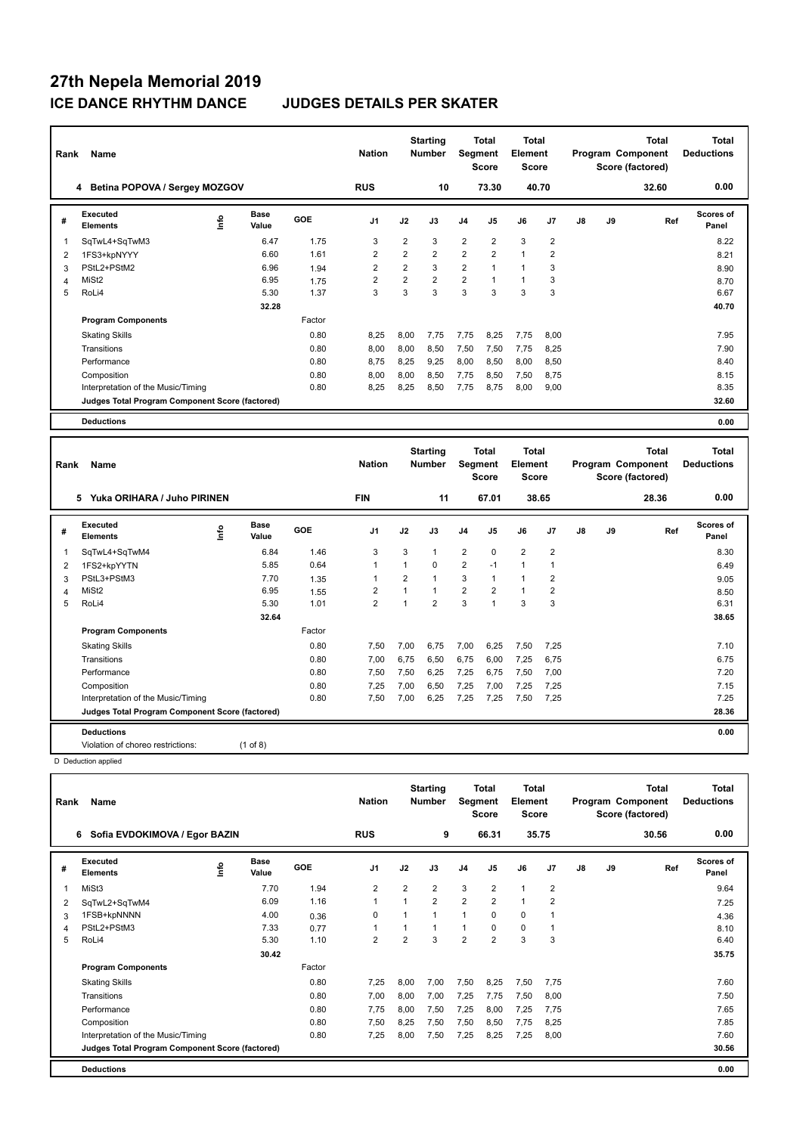| Rank           | Name                                            |      |                      |        | <b>Nation</b>  |                | <b>Starting</b><br><b>Number</b> | Segment        | <b>Total</b><br><b>Score</b> | <b>Total</b><br>Element<br><b>Score</b> |                |               |    | <b>Total</b><br>Program Component<br>Score (factored) | Total<br><b>Deductions</b>        |
|----------------|-------------------------------------------------|------|----------------------|--------|----------------|----------------|----------------------------------|----------------|------------------------------|-----------------------------------------|----------------|---------------|----|-------------------------------------------------------|-----------------------------------|
|                | 4 Betina POPOVA / Sergey MOZGOV                 |      |                      |        | <b>RUS</b>     |                | 10                               |                | 73.30                        |                                         | 40.70          |               |    | 32.60                                                 | 0.00                              |
| #              | <b>Executed</b><br><b>Elements</b>              | ١rfo | Base<br>Value        | GOE    | J <sub>1</sub> | J2             | J3                               | J <sub>4</sub> | J <sub>5</sub>               | J6                                      | J7             | $\mathsf{J}8$ | J9 | Ref                                                   | Scores of<br>Panel                |
| 1              | SqTwL4+SqTwM3                                   |      | 6.47                 | 1.75   | 3              | $\overline{2}$ | 3                                | $\overline{2}$ | $\overline{2}$               | 3                                       | $\overline{2}$ |               |    |                                                       | 8.22                              |
| 2              | 1FS3+kpNYYY                                     |      | 6.60                 | 1.61   | $\overline{2}$ | $\overline{2}$ | $\overline{2}$                   | $\overline{2}$ | $\overline{2}$               | $\mathbf{1}$                            | $\overline{2}$ |               |    |                                                       | 8.21                              |
| 3              | PStL2+PStM2                                     |      | 6.96                 | 1.94   | $\overline{2}$ | $\overline{2}$ | 3                                | $\overline{2}$ | $\mathbf{1}$                 | $\mathbf{1}$                            | 3              |               |    |                                                       | 8.90                              |
| $\overline{4}$ | MiSt <sub>2</sub>                               |      | 6.95                 | 1.75   | $\overline{2}$ | $\overline{2}$ | $\overline{2}$                   | $\overline{2}$ | $\mathbf{1}$                 | $\mathbf{1}$                            | 3              |               |    |                                                       | 8.70                              |
| 5              | RoLi4                                           |      | 5.30                 | 1.37   | 3              | 3              | 3                                | 3              | 3                            | 3                                       | 3              |               |    |                                                       | 6.67                              |
|                |                                                 |      | 32.28                |        |                |                |                                  |                |                              |                                         |                |               |    |                                                       | 40.70                             |
|                | <b>Program Components</b>                       |      |                      | Factor |                |                |                                  |                |                              |                                         |                |               |    |                                                       |                                   |
|                | <b>Skating Skills</b>                           |      |                      | 0.80   | 8,25           | 8,00           | 7.75                             | 7,75           | 8,25                         | 7,75                                    | 8.00           |               |    |                                                       | 7.95                              |
|                | Transitions                                     |      |                      | 0.80   | 8.00           | 8,00           | 8,50                             | 7,50           | 7,50                         | 7,75                                    | 8,25           |               |    |                                                       | 7.90                              |
|                | Performance                                     |      |                      | 0.80   | 8,75           | 8,25           | 9,25                             | 8,00           | 8,50                         | 8,00                                    | 8,50           |               |    |                                                       | 8.40                              |
|                | Composition                                     |      |                      | 0.80   | 8.00           | 8,00           | 8,50                             | 7,75           | 8,50                         | 7,50                                    | 8.75           |               |    |                                                       | 8.15                              |
|                | Interpretation of the Music/Timing              |      |                      | 0.80   | 8,25           | 8,25           | 8,50                             | 7,75           | 8,75                         | 8,00                                    | 9,00           |               |    |                                                       | 8.35                              |
|                | Judges Total Program Component Score (factored) |      |                      |        |                |                |                                  |                |                              |                                         |                |               |    |                                                       | 32.60                             |
|                | <b>Deductions</b>                               |      |                      |        |                |                |                                  |                |                              |                                         |                |               |    |                                                       | 0.00                              |
|                |                                                 |      |                      |        |                |                |                                  |                |                              |                                         |                |               |    |                                                       |                                   |
| Rank           | Name                                            |      |                      |        | <b>Nation</b>  |                | <b>Starting</b><br><b>Number</b> | Segment        | <b>Total</b><br><b>Score</b> | <b>Total</b><br>Element<br><b>Score</b> |                |               |    | <b>Total</b><br>Program Component<br>Score (factored) | <b>Total</b><br><b>Deductions</b> |
|                | Yuka ORIHARA / Juho PIRINEN<br>5                |      |                      |        | <b>FIN</b>     |                | 11                               |                | 67.01                        |                                         | 38.65          |               |    | 28.36                                                 | 0.00                              |
| #              | <b>Executed</b><br><b>Elements</b>              | ۴ů   | <b>Base</b><br>Value | GOE    | J <sub>1</sub> | J2             | J3                               | J <sub>4</sub> | J5                           | J6                                      | J7             | J8            | J9 | Ref                                                   | Scores of<br>Panel                |
| 1              | SqTwL4+SqTwM4                                   |      | 6.84                 | 1.46   | 3              | 3              | $\mathbf{1}$                     | 2              | $\mathbf 0$                  | $\overline{2}$                          | $\overline{2}$ |               |    |                                                       | 8.30                              |

 1FS2+kpYYTN 5.85 0.64 1 1 0 2 -1 1 1 6.49 PStL3+PStM3 7.70 1.35 1 2 1 3 1 1 2 9.05 4 MiSt2 6.95 1.55 2 1 1 2 2 1 2 2 1 2 8.50 RoLi4 5.30 1.01 2 1 2 3 1 3 3 6.31

Skating Skills 7,50 7,00 6,75 7,00 6,25 7,50 7,25 0.80 7.10

Transitions 0.80 7,00 6,75 6,50 6,75 6,00 7,25 6,75 6.75 Performance 0.80 7,50 7,50 6,25 7,25 6,75 7,50 7,00 7.20 Composition 0.80 7,25 7,00 6,50 7,25 7,00 7,25 7,25 7.15 Interpretation of the Music/Timing 0.80 7,50 7,00 6,25 7,25 7,25 7,50 7,25 7.25

**Judges Total Program Component Score (factored) 28.36**

Factor

**32.64 33.65** 

**Deductions 0.00** Violation of choreo restrictions: (1 of 8)

**Program Components** 

| Rank | Name                                            |      |                      |        | <b>Nation</b>  |                | <b>Starting</b><br><b>Number</b> | Segment        | <b>Total</b><br>Score | Total<br>Element<br>Score |                |               |    | <b>Total</b><br>Program Component<br>Score (factored) | Total<br><b>Deductions</b> |
|------|-------------------------------------------------|------|----------------------|--------|----------------|----------------|----------------------------------|----------------|-----------------------|---------------------------|----------------|---------------|----|-------------------------------------------------------|----------------------------|
|      | 6 Sofia EVDOKIMOVA / Egor BAZIN                 |      |                      |        | <b>RUS</b>     |                | 9                                |                | 66.31                 |                           | 35.75          |               |    | 30.56                                                 | 0.00                       |
| #    | Executed<br><b>Elements</b>                     | lnfo | <b>Base</b><br>Value | GOE    | J <sub>1</sub> | J2             | J3                               | J <sub>4</sub> | J <sub>5</sub>        | J6                        | J <sub>7</sub> | $\mathsf{J}8$ | J9 | Ref                                                   | <b>Scores of</b><br>Panel  |
| 1    | MiSt3                                           |      | 7.70                 | 1.94   | $\overline{2}$ | $\overline{2}$ | $\overline{2}$                   | 3              | 2                     | $\mathbf{1}$              | 2              |               |    |                                                       | 9.64                       |
| 2    | SqTwL2+SqTwM4                                   |      | 6.09                 | 1.16   | 1              | $\overline{1}$ | $\overline{2}$                   | $\overline{2}$ | $\overline{2}$        | $\overline{1}$            | $\overline{2}$ |               |    |                                                       | 7.25                       |
| 3    | 1FSB+kpNNNN                                     |      | 4.00                 | 0.36   | 0              | 1              | $\overline{1}$                   | $\mathbf{1}$   | 0                     | $\mathbf 0$               | 1              |               |    |                                                       | 4.36                       |
| 4    | PStL2+PStM3                                     |      | 7.33                 | 0.77   | 1              | $\overline{A}$ | $\mathbf{1}$                     | 1              | 0                     | $\mathbf 0$               |                |               |    |                                                       | 8.10                       |
| 5    | RoLi4                                           |      | 5.30                 | 1.10   | $\overline{2}$ | $\overline{2}$ | 3                                | $\overline{2}$ | $\overline{2}$        | 3                         | 3              |               |    |                                                       | 6.40                       |
|      |                                                 |      | 30.42                |        |                |                |                                  |                |                       |                           |                |               |    |                                                       | 35.75                      |
|      | <b>Program Components</b>                       |      |                      | Factor |                |                |                                  |                |                       |                           |                |               |    |                                                       |                            |
|      | <b>Skating Skills</b>                           |      |                      | 0.80   | 7.25           | 8,00           | 7.00                             | 7,50           | 8,25                  | 7,50                      | 7,75           |               |    |                                                       | 7.60                       |
|      | Transitions                                     |      |                      | 0.80   | 7.00           | 8,00           | 7,00                             | 7,25           | 7,75                  | 7,50                      | 8,00           |               |    |                                                       | 7.50                       |
|      | Performance                                     |      |                      | 0.80   | 7.75           | 8.00           | 7.50                             | 7,25           | 8.00                  | 7,25                      | 7,75           |               |    |                                                       | 7.65                       |
|      | Composition                                     |      |                      | 0.80   | 7,50           | 8,25           | 7,50                             | 7,50           | 8,50                  | 7,75                      | 8,25           |               |    |                                                       | 7.85                       |
|      | Interpretation of the Music/Timing              |      |                      | 0.80   | 7.25           | 8,00           | 7,50                             | 7,25           | 8,25                  | 7,25                      | 8,00           |               |    |                                                       | 7.60                       |
|      | Judges Total Program Component Score (factored) |      |                      |        |                |                |                                  |                |                       |                           |                |               |    |                                                       | 30.56                      |
|      | <b>Deductions</b>                               |      |                      |        |                |                |                                  |                |                       |                           |                |               |    |                                                       | 0.00                       |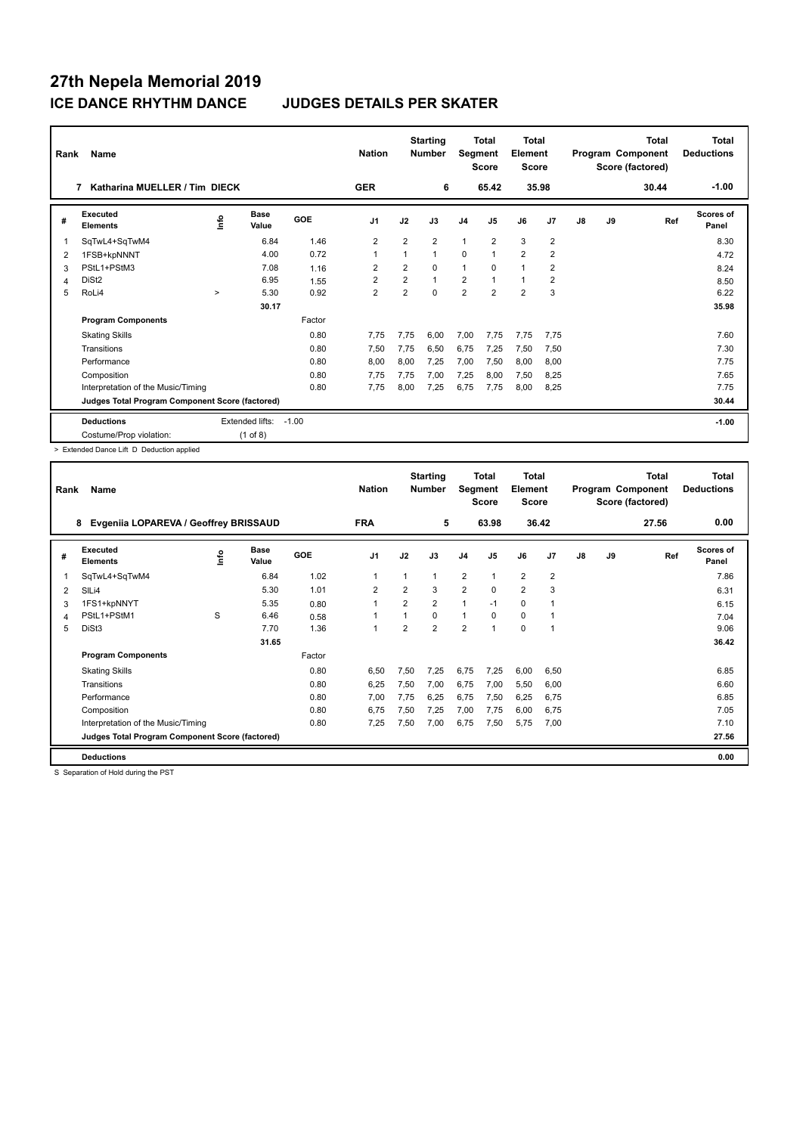| Rank | Name                                            |        |                 |            | <b>Nation</b>  |                | <b>Starting</b><br><b>Number</b> | Segment        | Total<br><b>Score</b> | <b>Total</b><br>Element<br><b>Score</b> |                |               |    | <b>Total</b><br>Program Component<br>Score (factored) | <b>Total</b><br><b>Deductions</b><br>$-1.00$ |
|------|-------------------------------------------------|--------|-----------------|------------|----------------|----------------|----------------------------------|----------------|-----------------------|-----------------------------------------|----------------|---------------|----|-------------------------------------------------------|----------------------------------------------|
|      | Katharina MUELLER / Tim DIECK<br>7              |        |                 |            | <b>GER</b>     |                | 6                                |                | 65.42                 |                                         | 35.98          |               |    | 30.44                                                 |                                              |
| #    | Executed<br><b>Elements</b>                     | lnfo   | Base<br>Value   | <b>GOE</b> | J <sub>1</sub> | J2             | J3                               | J <sub>4</sub> | J5                    | J6                                      | J7             | $\mathsf{J}8$ | J9 | Ref                                                   | Scores of<br>Panel                           |
| 1    | SqTwL4+SqTwM4                                   |        | 6.84            | 1.46       | $\overline{2}$ | $\overline{2}$ | $\overline{2}$                   | $\overline{1}$ | $\overline{2}$        | 3                                       | $\overline{2}$ |               |    |                                                       | 8.30                                         |
| 2    | 1FSB+kpNNNT                                     |        | 4.00            | 0.72       | $\overline{1}$ | 1              | 1                                | $\mathbf 0$    | $\mathbf{1}$          | $\overline{2}$                          | $\overline{2}$ |               |    |                                                       | 4.72                                         |
| 3    | PStL1+PStM3                                     |        | 7.08            | 1.16       | $\overline{2}$ | $\overline{2}$ | $\Omega$                         | $\mathbf{1}$   | $\Omega$              | $\mathbf{1}$                            | $\overline{2}$ |               |    |                                                       | 8.24                                         |
| 4    | DiSt <sub>2</sub>                               |        | 6.95            | 1.55       | $\overline{2}$ | $\overline{2}$ | $\overline{1}$                   | 2              | $\overline{1}$        | $\mathbf{1}$                            | $\overline{2}$ |               |    |                                                       | 8.50                                         |
| 5    | RoLi4                                           | $\geq$ | 5.30            | 0.92       | $\overline{2}$ | 2              | $\Omega$                         | $\overline{2}$ | $\overline{2}$        | $\overline{2}$                          | 3              |               |    |                                                       | 6.22                                         |
|      |                                                 |        | 30.17           |            |                |                |                                  |                |                       |                                         |                |               |    |                                                       | 35.98                                        |
|      | <b>Program Components</b>                       |        |                 | Factor     |                |                |                                  |                |                       |                                         |                |               |    |                                                       |                                              |
|      | <b>Skating Skills</b>                           |        |                 | 0.80       | 7.75           | 7.75           | 6.00                             | 7,00           | 7.75                  | 7,75                                    | 7.75           |               |    |                                                       | 7.60                                         |
|      | Transitions                                     |        |                 | 0.80       | 7,50           | 7,75           | 6,50                             | 6,75           | 7.25                  | 7,50                                    | 7,50           |               |    |                                                       | 7.30                                         |
|      | Performance                                     |        |                 | 0.80       | 8,00           | 8,00           | 7.25                             | 7,00           | 7,50                  | 8,00                                    | 8,00           |               |    |                                                       | 7.75                                         |
|      | Composition                                     |        |                 | 0.80       | 7.75           | 7,75           | 7,00                             | 7,25           | 8,00                  | 7,50                                    | 8,25           |               |    |                                                       | 7.65                                         |
|      | Interpretation of the Music/Timing              |        |                 | 0.80       | 7.75           | 8.00           | 7,25                             | 6,75           | 7,75                  | 8,00                                    | 8,25           |               |    |                                                       | 7.75                                         |
|      | Judges Total Program Component Score (factored) |        |                 |            |                |                |                                  |                |                       |                                         |                |               |    |                                                       | 30.44                                        |
|      | <b>Deductions</b>                               |        | Extended lifts: | $-1.00$    |                |                |                                  |                |                       |                                         |                |               |    |                                                       | $-1.00$                                      |
|      | Costume/Prop violation:                         |        | $(1$ of 8)      |            |                |                |                                  |                |                       |                                         |                |               |    |                                                       |                                              |

> Extended Dance Lift D Deduction applied

| Rank | Name                                            |      |               |        | <b>Nation</b>  |                | <b>Starting</b><br><b>Number</b> | Segment        | Total<br>Score | <b>Total</b><br>Element<br><b>Score</b> |                |               |    | <b>Total</b><br>Program Component<br>Score (factored) | <b>Total</b><br><b>Deductions</b> |
|------|-------------------------------------------------|------|---------------|--------|----------------|----------------|----------------------------------|----------------|----------------|-----------------------------------------|----------------|---------------|----|-------------------------------------------------------|-----------------------------------|
|      | Evgeniia LOPAREVA / Geoffrey BRISSAUD<br>8      |      |               |        | <b>FRA</b>     |                | 5                                |                | 63.98          |                                         | 36.42          |               |    | 27.56                                                 | 0.00                              |
| #    | Executed<br><b>Elements</b>                     | ١nf٥ | Base<br>Value | GOE    | J <sub>1</sub> | J2             | J3                               | J <sub>4</sub> | J <sub>5</sub> | J6                                      | J7             | $\mathsf{J}8$ | J9 | Ref                                                   | Scores of<br>Panel                |
| 1    | SqTwL4+SqTwM4                                   |      | 6.84          | 1.02   | 1              | $\overline{1}$ | 1                                | $\overline{2}$ | 1              | $\overline{2}$                          | $\overline{2}$ |               |    |                                                       | 7.86                              |
| 2    | SILi4                                           |      | 5.30          | 1.01   | $\overline{2}$ | $\overline{2}$ | 3                                | $\overline{2}$ | $\Omega$       | $\overline{2}$                          | 3              |               |    |                                                       | 6.31                              |
| 3    | 1FS1+kpNNYT                                     |      | 5.35          | 0.80   | 1              | $\overline{2}$ | $\overline{2}$                   | 1              | $-1$           | $\mathbf 0$                             | $\overline{1}$ |               |    |                                                       | 6.15                              |
| 4    | PStL1+PStM1                                     | S    | 6.46          | 0.58   | 1              | $\overline{1}$ | 0                                | 1              | $\Omega$       | $\mathbf 0$                             | -1             |               |    |                                                       | 7.04                              |
| 5    | DiSt3                                           |      | 7.70          | 1.36   | 1              | $\overline{2}$ | $\overline{2}$                   | $\overline{2}$ | 1              | $\Omega$                                | 1              |               |    |                                                       | 9.06                              |
|      |                                                 |      | 31.65         |        |                |                |                                  |                |                |                                         |                |               |    |                                                       | 36.42                             |
|      | <b>Program Components</b>                       |      |               | Factor |                |                |                                  |                |                |                                         |                |               |    |                                                       |                                   |
|      | <b>Skating Skills</b>                           |      |               | 0.80   | 6.50           | 7,50           | 7,25                             | 6,75           | 7,25           | 6,00                                    | 6,50           |               |    |                                                       | 6.85                              |
|      | Transitions                                     |      |               | 0.80   | 6,25           | 7,50           | 7.00                             | 6,75           | 7,00           | 5,50                                    | 6,00           |               |    |                                                       | 6.60                              |
|      | Performance                                     |      |               | 0.80   | 7,00           | 7,75           | 6.25                             | 6,75           | 7,50           | 6,25                                    | 6,75           |               |    |                                                       | 6.85                              |
|      | Composition                                     |      |               | 0.80   | 6,75           | 7,50           | 7,25                             | 7,00           | 7,75           | 6,00                                    | 6,75           |               |    |                                                       | 7.05                              |
|      | Interpretation of the Music/Timing              |      |               | 0.80   | 7,25           | 7,50           | 7,00                             | 6,75           | 7,50           | 5,75                                    | 7,00           |               |    |                                                       | 7.10                              |
|      | Judges Total Program Component Score (factored) |      |               |        |                |                |                                  |                |                |                                         |                |               |    |                                                       | 27.56                             |
|      | <b>Deductions</b>                               |      |               |        |                |                |                                  |                |                |                                         |                |               |    |                                                       | 0.00                              |

S Separation of Hold during the PST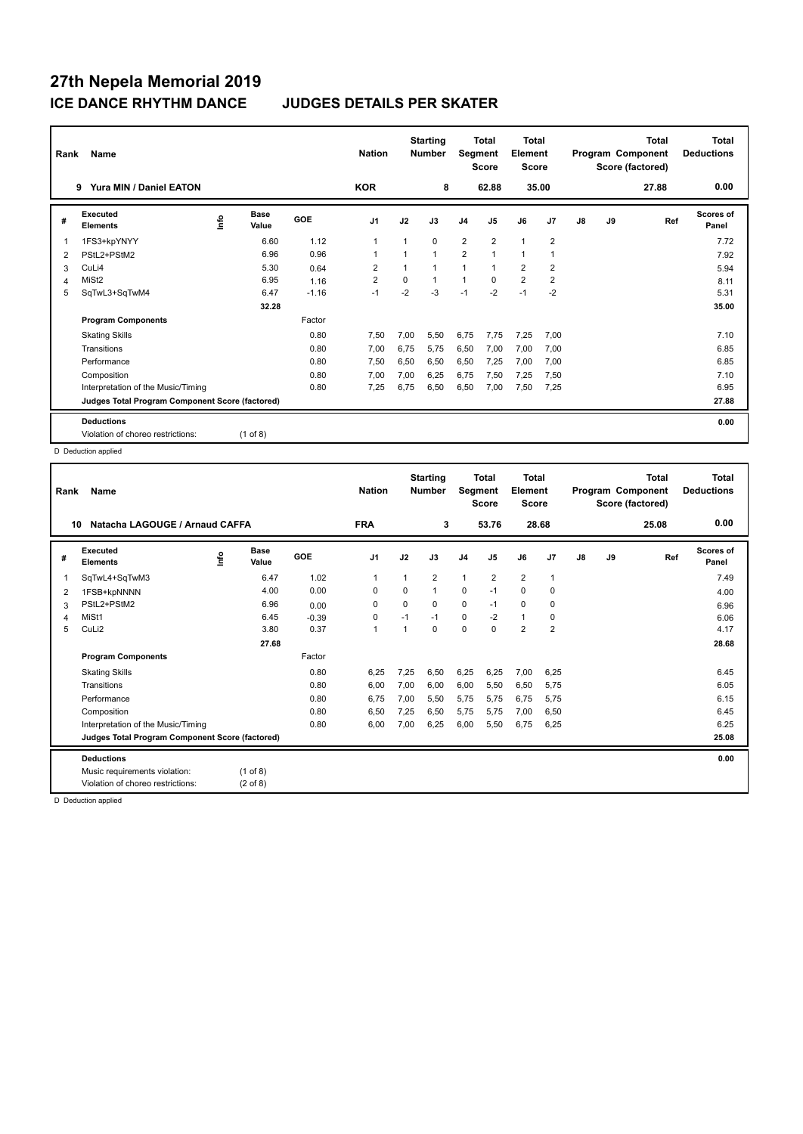| Rank           | Name                                            |    |                      |         | <b>Nation</b>  |      | <b>Starting</b><br><b>Number</b> | Segment        | <b>Total</b><br><b>Score</b> | Total<br>Element<br><b>Score</b> |                |    |    | <b>Total</b><br>Program Component<br>Score (factored) | <b>Total</b><br><b>Deductions</b> |
|----------------|-------------------------------------------------|----|----------------------|---------|----------------|------|----------------------------------|----------------|------------------------------|----------------------------------|----------------|----|----|-------------------------------------------------------|-----------------------------------|
|                | Yura MIN / Daniel EATON<br>9                    |    |                      |         | <b>KOR</b>     |      | 8                                |                | 62.88                        |                                  | 35.00          |    |    | 27.88                                                 | 0.00                              |
| #              | Executed<br><b>Elements</b>                     | ۴٥ | <b>Base</b><br>Value | GOE     | J <sub>1</sub> | J2   | J3                               | J <sub>4</sub> | J <sub>5</sub>               | J6                               | J <sub>7</sub> | J8 | J9 | Ref                                                   | Scores of<br>Panel                |
| 1              | 1FS3+kpYNYY                                     |    | 6.60                 | 1.12    | $\overline{1}$ |      | $\Omega$                         | $\overline{2}$ | $\overline{2}$               | $\overline{1}$                   | $\overline{2}$ |    |    |                                                       | 7.72                              |
| 2              | PStL2+PStM2                                     |    | 6.96                 | 0.96    | -1             |      | $\mathbf{1}$                     | $\overline{2}$ | $\mathbf{1}$                 | 1                                | $\overline{1}$ |    |    |                                                       | 7.92                              |
| 3              | CuLi4                                           |    | 5.30                 | 0.64    | 2              |      | $\overline{1}$                   | 1              | 1                            | $\overline{2}$                   | $\overline{2}$ |    |    |                                                       | 5.94                              |
| $\overline{4}$ | MiSt <sub>2</sub>                               |    | 6.95                 | 1.16    | $\overline{2}$ | 0    | $\mathbf{1}$                     | $\mathbf{1}$   | $\Omega$                     | $\overline{2}$                   | $\overline{2}$ |    |    |                                                       | 8.11                              |
| 5              | SqTwL3+SqTwM4                                   |    | 6.47                 | $-1.16$ | $-1$           | $-2$ | $-3$                             | $-1$           | $-2$                         | $-1$                             | $-2$           |    |    |                                                       | 5.31                              |
|                |                                                 |    | 32.28                |         |                |      |                                  |                |                              |                                  |                |    |    |                                                       | 35.00                             |
|                | <b>Program Components</b>                       |    |                      | Factor  |                |      |                                  |                |                              |                                  |                |    |    |                                                       |                                   |
|                | <b>Skating Skills</b>                           |    |                      | 0.80    | 7.50           | 7.00 | 5,50                             | 6.75           | 7.75                         | 7,25                             | 7,00           |    |    |                                                       | 7.10                              |
|                | Transitions                                     |    |                      | 0.80    | 7,00           | 6,75 | 5.75                             | 6,50           | 7,00                         | 7,00                             | 7,00           |    |    |                                                       | 6.85                              |
|                | Performance                                     |    |                      | 0.80    | 7,50           | 6,50 | 6,50                             | 6,50           | 7,25                         | 7,00                             | 7,00           |    |    |                                                       | 6.85                              |
|                | Composition                                     |    |                      | 0.80    | 7,00           | 7,00 | 6,25                             | 6,75           | 7,50                         | 7,25                             | 7,50           |    |    |                                                       | 7.10                              |
|                | Interpretation of the Music/Timing              |    |                      | 0.80    | 7,25           | 6,75 | 6,50                             | 6,50           | 7,00                         | 7,50                             | 7,25           |    |    |                                                       | 6.95                              |
|                | Judges Total Program Component Score (factored) |    |                      |         |                |      |                                  |                |                              |                                  |                |    |    |                                                       | 27.88                             |
|                | <b>Deductions</b>                               |    |                      |         |                |      |                                  |                |                              |                                  |                |    |    |                                                       | 0.00                              |
|                | Violation of choreo restrictions:               |    | $(1$ of 8)           |         |                |      |                                  |                |                              |                                  |                |    |    |                                                       |                                   |

D Deduction applied

| Rank           | Name                                            |                            |         | <b>Nation</b>  |             | <b>Starting</b><br><b>Number</b> | Segment        | Total<br><b>Score</b> | <b>Total</b><br>Element<br><b>Score</b> |                |    |    | <b>Total</b><br>Program Component<br>Score (factored) | <b>Total</b><br><b>Deductions</b> |
|----------------|-------------------------------------------------|----------------------------|---------|----------------|-------------|----------------------------------|----------------|-----------------------|-----------------------------------------|----------------|----|----|-------------------------------------------------------|-----------------------------------|
| 10             | Natacha LAGOUGE / Arnaud CAFFA                  |                            |         | <b>FRA</b>     |             | 3                                |                | 53.76                 |                                         | 28.68          |    |    | 25.08                                                 | 0.00                              |
| #              | Executed<br><b>Elements</b>                     | <b>Base</b><br>١m<br>Value | GOE     | J <sub>1</sub> | J2          | J3                               | J <sub>4</sub> | J <sub>5</sub>        | J6                                      | J <sub>7</sub> | J8 | J9 | Ref                                                   | Scores of<br>Panel                |
| 1              | SqTwL4+SqTwM3                                   | 6.47                       | 1.02    | $\mathbf{1}$   | 1           | $\overline{2}$                   | $\mathbf{1}$   | $\overline{2}$        | $\overline{2}$                          | $\overline{1}$ |    |    |                                                       | 7.49                              |
| 2              | 1FSB+kpNNNN                                     | 4.00                       | 0.00    | 0              | $\Omega$    | $\mathbf{1}$                     | 0              | $-1$                  | $\Omega$                                | 0              |    |    |                                                       | 4.00                              |
| 3              | PStL2+PStM2                                     | 6.96                       | 0.00    | 0              | $\mathbf 0$ | 0                                | $\mathbf 0$    | $-1$                  | $\mathbf 0$                             | 0              |    |    |                                                       | 6.96                              |
| $\overline{4}$ | MiSt1                                           | 6.45                       | $-0.39$ | $\mathbf 0$    | $-1$        | $-1$                             | $\Omega$       | $-2$                  | $\mathbf{1}$                            | 0              |    |    |                                                       | 6.06                              |
| 5              | CuLi2                                           | 3.80                       | 0.37    | $\overline{1}$ |             | 0                                | 0              | $\mathbf 0$           | $\overline{2}$                          | $\overline{2}$ |    |    |                                                       | 4.17                              |
|                |                                                 | 27.68                      |         |                |             |                                  |                |                       |                                         |                |    |    |                                                       | 28.68                             |
|                | <b>Program Components</b>                       |                            | Factor  |                |             |                                  |                |                       |                                         |                |    |    |                                                       |                                   |
|                | <b>Skating Skills</b>                           |                            | 0.80    | 6.25           | 7,25        | 6,50                             | 6,25           | 6,25                  | 7,00                                    | 6.25           |    |    |                                                       | 6.45                              |
|                | Transitions                                     |                            | 0.80    | 6,00           | 7,00        | 6,00                             | 6,00           | 5,50                  | 6,50                                    | 5,75           |    |    |                                                       | 6.05                              |
|                | Performance                                     |                            | 0.80    | 6,75           | 7,00        | 5,50                             | 5,75           | 5,75                  | 6,75                                    | 5,75           |    |    |                                                       | 6.15                              |
|                | Composition                                     |                            | 0.80    | 6,50           | 7,25        | 6,50                             | 5,75           | 5.75                  | 7,00                                    | 6,50           |    |    |                                                       | 6.45                              |
|                | Interpretation of the Music/Timing              |                            | 0.80    | 6.00           | 7,00        | 6,25                             | 6,00           | 5,50                  | 6,75                                    | 6,25           |    |    |                                                       | 6.25                              |
|                | Judges Total Program Component Score (factored) |                            |         |                |             |                                  |                |                       |                                         |                |    |    |                                                       | 25.08                             |
|                | <b>Deductions</b>                               |                            |         |                |             |                                  |                |                       |                                         |                |    |    |                                                       | 0.00                              |
|                | Music requirements violation:                   | $(1$ of 8)                 |         |                |             |                                  |                |                       |                                         |                |    |    |                                                       |                                   |
|                | Violation of choreo restrictions:               | $(2 \text{ of } 8)$        |         |                |             |                                  |                |                       |                                         |                |    |    |                                                       |                                   |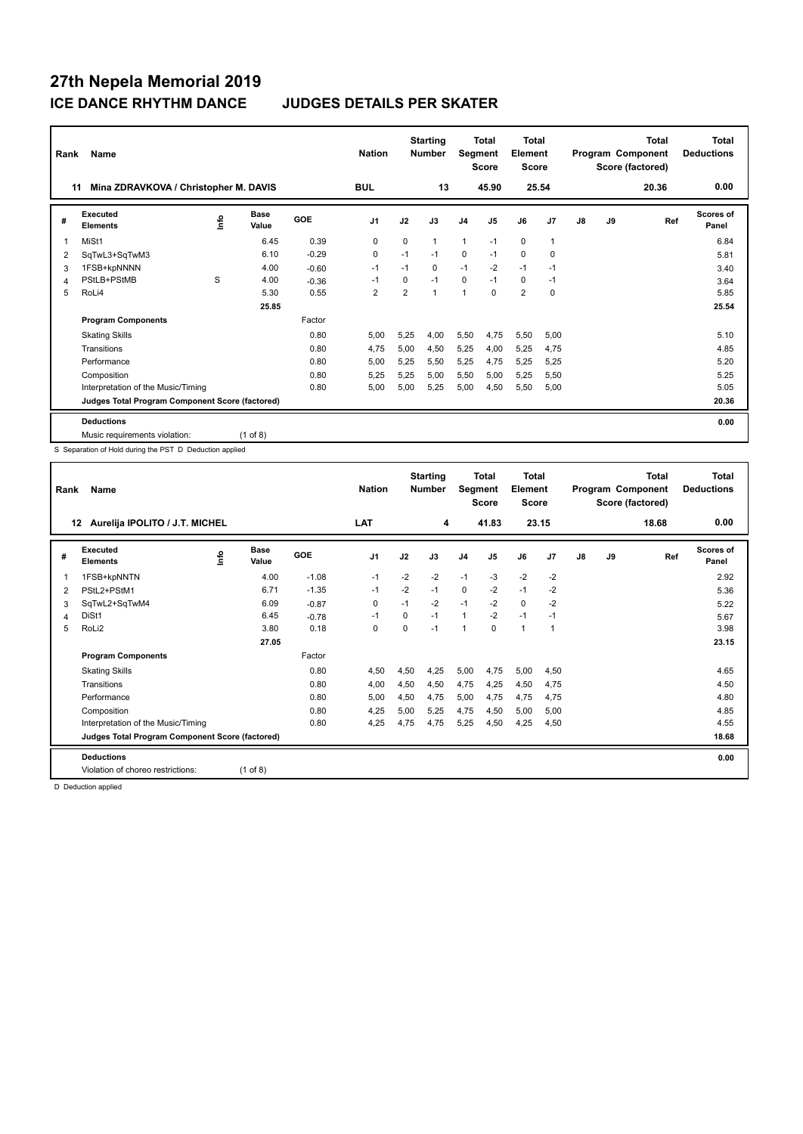| Rank | Name                                            |      |               |            | <b>Nation</b>  |                | <b>Starting</b><br><b>Number</b> | Segment        | Total<br><b>Score</b> | <b>Total</b><br>Element<br><b>Score</b> |              |               |    | <b>Total</b><br>Program Component<br>Score (factored) | <b>Total</b><br><b>Deductions</b> |
|------|-------------------------------------------------|------|---------------|------------|----------------|----------------|----------------------------------|----------------|-----------------------|-----------------------------------------|--------------|---------------|----|-------------------------------------------------------|-----------------------------------|
| 11   | Mina ZDRAVKOVA / Christopher M. DAVIS           |      |               |            | <b>BUL</b>     |                | 13                               |                | 45.90                 | 25.54                                   |              |               |    | 20.36                                                 | 0.00                              |
| #    | Executed<br><b>Elements</b>                     | Info | Base<br>Value | <b>GOE</b> | J <sub>1</sub> | J2             | J3                               | J <sub>4</sub> | J5                    | J6                                      | J7           | $\mathsf{J}8$ | J9 | Ref                                                   | Scores of<br>Panel                |
| 1    | MiSt1                                           |      | 6.45          | 0.39       | 0              | 0              | 1                                | $\mathbf{1}$   | $-1$                  | $\mathbf 0$                             | $\mathbf{1}$ |               |    |                                                       | 6.84                              |
| 2    | SqTwL3+SqTwM3                                   |      | 6.10          | $-0.29$    | 0              | $-1$           | $-1$                             | $\mathbf 0$    | $-1$                  | $\mathbf 0$                             | 0            |               |    |                                                       | 5.81                              |
| 3    | 1FSB+kpNNNN                                     |      | 4.00          | $-0.60$    | $-1$           | $-1$           | 0                                | $-1$           | $-2$                  | $-1$                                    | $-1$         |               |    |                                                       | 3.40                              |
| 4    | PStLB+PStMB                                     | S    | 4.00          | $-0.36$    | $-1$           | $\Omega$       | $-1$                             | $\mathbf 0$    | $-1$                  | 0                                       | $-1$         |               |    |                                                       | 3.64                              |
| 5    | RoLi4                                           |      | 5.30          | 0.55       | $\overline{2}$ | $\overline{2}$ | 1                                | $\overline{1}$ | $\Omega$              | $\overline{2}$                          | 0            |               |    |                                                       | 5.85                              |
|      |                                                 |      | 25.85         |            |                |                |                                  |                |                       |                                         |              |               |    |                                                       | 25.54                             |
|      | <b>Program Components</b>                       |      |               | Factor     |                |                |                                  |                |                       |                                         |              |               |    |                                                       |                                   |
|      | <b>Skating Skills</b>                           |      |               | 0.80       | 5.00           | 5,25           | 4.00                             | 5,50           | 4,75                  | 5,50                                    | 5,00         |               |    |                                                       | 5.10                              |
|      | Transitions                                     |      |               | 0.80       | 4,75           | 5.00           | 4,50                             | 5,25           | 4.00                  | 5,25                                    | 4,75         |               |    |                                                       | 4.85                              |
|      | Performance                                     |      |               | 0.80       | 5.00           | 5,25           | 5,50                             | 5,25           | 4,75                  | 5,25                                    | 5,25         |               |    |                                                       | 5.20                              |
|      | Composition                                     |      |               | 0.80       | 5,25           | 5,25           | 5,00                             | 5,50           | 5,00                  | 5,25                                    | 5,50         |               |    |                                                       | 5.25                              |
|      | Interpretation of the Music/Timing              |      |               | 0.80       | 5.00           | 5.00           | 5,25                             | 5,00           | 4,50                  | 5,50                                    | 5,00         |               |    |                                                       | 5.05                              |
|      | Judges Total Program Component Score (factored) |      |               |            |                |                |                                  |                |                       |                                         |              |               |    |                                                       | 20.36                             |
|      | <b>Deductions</b>                               |      |               |            |                |                |                                  |                |                       |                                         |              |               |    |                                                       | 0.00                              |
|      | Music requirements violation:                   |      | $(1$ of 8)    |            |                |                |                                  |                |                       |                                         |              |               |    |                                                       |                                   |

S Separation of Hold during the PST D Deduction applied

| <b>Score</b><br><b>Score</b><br>Score (factored)                                                                                                           |                    |
|------------------------------------------------------------------------------------------------------------------------------------------------------------|--------------------|
| <b>LAT</b><br>41.83<br>23.15<br>18.68<br>Aurelija IPOLITO / J.T. MICHEL<br>4<br>12                                                                         | 0.00               |
| Executed<br><b>Base</b><br>۴ô<br>GOE<br>J <sub>1</sub><br>J6<br>J7<br>J2<br>J3<br>J5<br>J8<br>J9<br>Ref<br>J <sub>4</sub><br>#<br><b>Elements</b><br>Value | Scores of<br>Panel |
| $-2$<br>$-1.08$<br>$-2$<br>$-2$<br>$-1$<br>$-3$<br>$-2$<br>1FSB+kpNNTN<br>4.00<br>$-1$<br>1                                                                | 2.92               |
| $-2$<br>$-1.35$<br>0<br>$-2$<br>$-1$<br>-2<br>6.71<br>$-1$<br>$-1$<br>PStL2+PStM1<br>2                                                                     | 5.36               |
| $-2$<br>$-1$<br>$-2$<br>$\Omega$<br>$-2$<br>SqTwL2+SqTwM4<br>6.09<br>0<br>$-1$<br>$-0.87$<br>3                                                             | 5.22               |
| $-2$<br>DiSt1<br>$-1$<br>$-1$<br>$\mathbf{1}$<br>$-1$<br>6.45<br>$\Omega$<br>$-1$<br>$-0.78$<br>4                                                          | 5.67               |
| RoLi2<br>3.80<br>0.18<br>0<br>$\Omega$<br>$\Omega$<br>1<br>5<br>$-1$<br>1<br>-1                                                                            | 3.98               |
| 27.05                                                                                                                                                      | 23.15              |
| <b>Program Components</b><br>Factor                                                                                                                        |                    |
| 0.80<br>4,50<br>4,50<br>4,25<br>5,00<br>4,75<br>5,00<br>4,50<br><b>Skating Skills</b>                                                                      | 4.65               |
| 0.80<br>4,75<br>Transitions<br>4,00<br>4,50<br>4,50<br>4,25<br>4,50<br>4,75                                                                                | 4.50               |
| 4,75<br>5,00<br>4,75<br>Performance<br>0.80<br>5,00<br>4,50<br>4,75<br>4,75                                                                                | 4.80               |
| 0.80<br>4,25<br>4,75<br>5,00<br>Composition<br>5,00<br>5,25<br>4,50<br>5,00                                                                                | 4.85               |
| Interpretation of the Music/Timing<br>0.80<br>4,25<br>4,75<br>4,75<br>5,25<br>4,50<br>4,25<br>4,50                                                         | 4.55               |
| Judges Total Program Component Score (factored)                                                                                                            | 18.68              |
| <b>Deductions</b>                                                                                                                                          | 0.00               |
| Violation of choreo restrictions:<br>$(1$ of 8)                                                                                                            |                    |